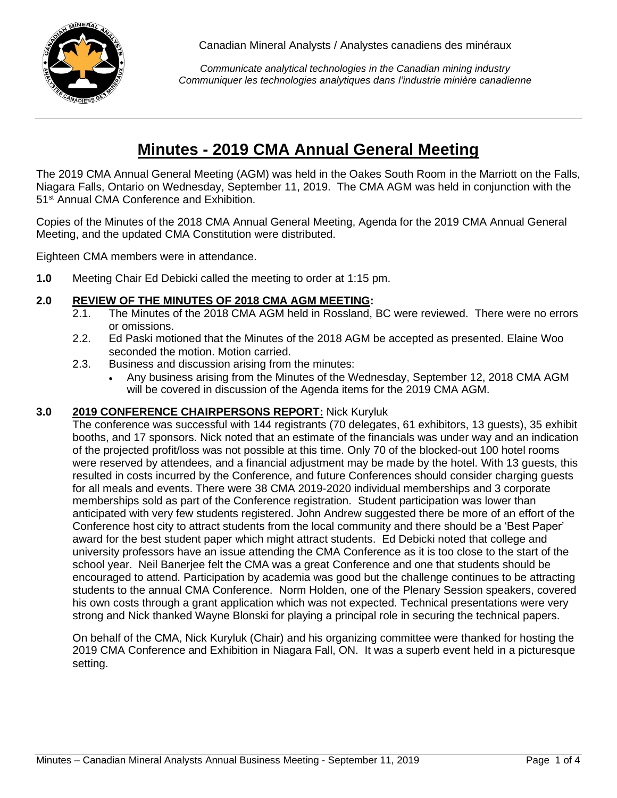

*Communicate analytical technologies in the Canadian mining industry Communiquer les technologies analytiques dans l'industrie minière canadienne*

# **Minutes - 2019 CMA Annual General Meeting**

The 2019 CMA Annual General Meeting (AGM) was held in the Oakes South Room in the Marriott on the Falls, Niagara Falls, Ontario on Wednesday, September 11, 2019. The CMA AGM was held in conjunction with the 51<sup>st</sup> Annual CMA Conference and Exhibition.

Copies of the Minutes of the 2018 CMA Annual General Meeting, Agenda for the 2019 CMA Annual General Meeting, and the updated CMA Constitution were distributed.

Eighteen CMA members were in attendance.

**1.0** Meeting Chair Ed Debicki called the meeting to order at 1:15 pm.

## **2.0 REVIEW OF THE MINUTES OF 2018 CMA AGM MEETING:**

- 2.1. The Minutes of the 2018 CMA AGM held in Rossland, BC were reviewed. There were no errors or omissions.
- 2.2. Ed Paski motioned that the Minutes of the 2018 AGM be accepted as presented. Elaine Woo seconded the motion. Motion carried.
- 2.3. Business and discussion arising from the minutes:
	- Any business arising from the Minutes of the Wednesday, September 12, 2018 CMA AGM will be covered in discussion of the Agenda items for the 2019 CMA AGM.

## **3.0 2019 CONFERENCE CHAIRPERSONS REPORT:** Nick Kuryluk

The conference was successful with 144 registrants (70 delegates, 61 exhibitors, 13 guests), 35 exhibit booths, and 17 sponsors. Nick noted that an estimate of the financials was under way and an indication of the projected profit/loss was not possible at this time. Only 70 of the blocked-out 100 hotel rooms were reserved by attendees, and a financial adjustment may be made by the hotel. With 13 guests, this resulted in costs incurred by the Conference, and future Conferences should consider charging guests for all meals and events. There were 38 CMA 2019-2020 individual memberships and 3 corporate memberships sold as part of the Conference registration. Student participation was lower than anticipated with very few students registered. John Andrew suggested there be more of an effort of the Conference host city to attract students from the local community and there should be a 'Best Paper' award for the best student paper which might attract students. Ed Debicki noted that college and university professors have an issue attending the CMA Conference as it is too close to the start of the school year. Neil Banerjee felt the CMA was a great Conference and one that students should be encouraged to attend. Participation by academia was good but the challenge continues to be attracting students to the annual CMA Conference. Norm Holden, one of the Plenary Session speakers, covered his own costs through a grant application which was not expected. Technical presentations were very strong and Nick thanked Wayne Blonski for playing a principal role in securing the technical papers.

On behalf of the CMA, Nick Kuryluk (Chair) and his organizing committee were thanked for hosting the 2019 CMA Conference and Exhibition in Niagara Fall, ON. It was a superb event held in a picturesque setting.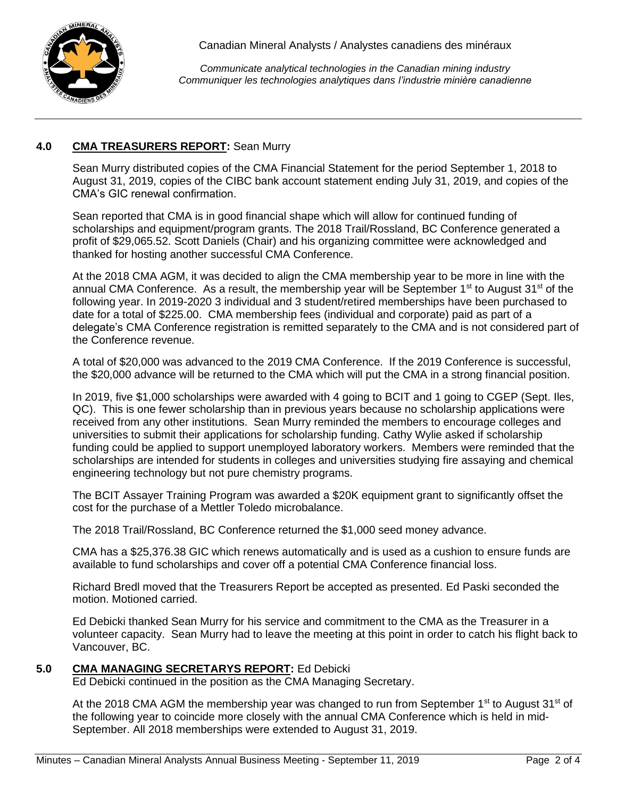

*Communicate analytical technologies in the Canadian mining industry Communiquer les technologies analytiques dans l'industrie minière canadienne*

# **4.0 CMA TREASURERS REPORT:** Sean Murry

Sean Murry distributed copies of the CMA Financial Statement for the period September 1, 2018 to August 31, 2019, copies of the CIBC bank account statement ending July 31, 2019, and copies of the CMA's GIC renewal confirmation.

Sean reported that CMA is in good financial shape which will allow for continued funding of scholarships and equipment/program grants. The 2018 Trail/Rossland, BC Conference generated a profit of \$29,065.52. Scott Daniels (Chair) and his organizing committee were acknowledged and thanked for hosting another successful CMA Conference.

At the 2018 CMA AGM, it was decided to align the CMA membership year to be more in line with the annual CMA Conference. As a result, the membership year will be September 1<sup>st</sup> to August 31<sup>st</sup> of the following year. In 2019-2020 3 individual and 3 student/retired memberships have been purchased to date for a total of \$225.00. CMA membership fees (individual and corporate) paid as part of a delegate's CMA Conference registration is remitted separately to the CMA and is not considered part of the Conference revenue.

A total of \$20,000 was advanced to the 2019 CMA Conference. If the 2019 Conference is successful, the \$20,000 advance will be returned to the CMA which will put the CMA in a strong financial position.

In 2019, five \$1,000 scholarships were awarded with 4 going to BCIT and 1 going to CGEP (Sept. Iles, QC). This is one fewer scholarship than in previous years because no scholarship applications were received from any other institutions. Sean Murry reminded the members to encourage colleges and universities to submit their applications for scholarship funding. Cathy Wylie asked if scholarship funding could be applied to support unemployed laboratory workers. Members were reminded that the scholarships are intended for students in colleges and universities studying fire assaying and chemical engineering technology but not pure chemistry programs.

The BCIT Assayer Training Program was awarded a \$20K equipment grant to significantly offset the cost for the purchase of a Mettler Toledo microbalance.

The 2018 Trail/Rossland, BC Conference returned the \$1,000 seed money advance.

CMA has a \$25,376.38 GIC which renews automatically and is used as a cushion to ensure funds are available to fund scholarships and cover off a potential CMA Conference financial loss.

Richard Bredl moved that the Treasurers Report be accepted as presented. Ed Paski seconded the motion. Motioned carried.

Ed Debicki thanked Sean Murry for his service and commitment to the CMA as the Treasurer in a volunteer capacity. Sean Murry had to leave the meeting at this point in order to catch his flight back to Vancouver, BC.

## **5.0 CMA MANAGING SECRETARYS REPORT:** Ed Debicki

Ed Debicki continued in the position as the CMA Managing Secretary.

At the 2018 CMA AGM the membership year was changed to run from September  $1<sup>st</sup>$  to August 31 $<sup>st</sup>$  of</sup> the following year to coincide more closely with the annual CMA Conference which is held in mid-September. All 2018 memberships were extended to August 31, 2019.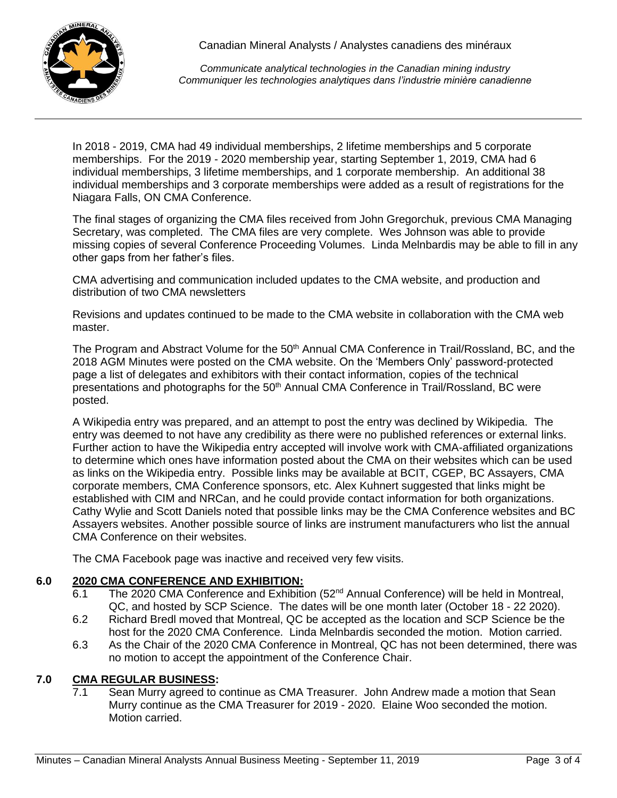

*Communicate analytical technologies in the Canadian mining industry Communiquer les technologies analytiques dans l'industrie minière canadienne*

In 2018 - 2019, CMA had 49 individual memberships, 2 lifetime memberships and 5 corporate memberships. For the 2019 - 2020 membership year, starting September 1, 2019, CMA had 6 individual memberships, 3 lifetime memberships, and 1 corporate membership. An additional 38 individual memberships and 3 corporate memberships were added as a result of registrations for the Niagara Falls, ON CMA Conference.

The final stages of organizing the CMA files received from John Gregorchuk, previous CMA Managing Secretary, was completed. The CMA files are very complete. Wes Johnson was able to provide missing copies of several Conference Proceeding Volumes. Linda Melnbardis may be able to fill in any other gaps from her father's files.

CMA advertising and communication included updates to the CMA website, and production and distribution of two CMA newsletters

Revisions and updates continued to be made to the CMA website in collaboration with the CMA web master.

The Program and Abstract Volume for the 50<sup>th</sup> Annual CMA Conference in Trail/Rossland, BC, and the 2018 AGM Minutes were posted on the CMA website. On the 'Members Only' password-protected page a list of delegates and exhibitors with their contact information, copies of the technical presentations and photographs for the 50<sup>th</sup> Annual CMA Conference in Trail/Rossland, BC were posted.

A Wikipedia entry was prepared, and an attempt to post the entry was declined by Wikipedia. The entry was deemed to not have any credibility as there were no published references or external links. Further action to have the Wikipedia entry accepted will involve work with CMA-affiliated organizations to determine which ones have information posted about the CMA on their websites which can be used as links on the Wikipedia entry. Possible links may be available at BCIT, CGEP, BC Assayers, CMA corporate members, CMA Conference sponsors, etc. Alex Kuhnert suggested that links might be established with CIM and NRCan, and he could provide contact information for both organizations. Cathy Wylie and Scott Daniels noted that possible links may be the CMA Conference websites and BC Assayers websites. Another possible source of links are instrument manufacturers who list the annual CMA Conference on their websites.

The CMA Facebook page was inactive and received very few visits.

## **6.0 2020 CMA CONFERENCE AND EXHIBITION:**

- 6.1 The 2020 CMA Conference and Exhibition (52<sup>nd</sup> Annual Conference) will be held in Montreal, QC, and hosted by SCP Science. The dates will be one month later (October 18 - 22 2020).
- 6.2 Richard Bredl moved that Montreal, QC be accepted as the location and SCP Science be the host for the 2020 CMA Conference. Linda Melnbardis seconded the motion. Motion carried.
- 6.3 As the Chair of the 2020 CMA Conference in Montreal, QC has not been determined, there was no motion to accept the appointment of the Conference Chair.

# **7.0 CMA REGULAR BUSINESS:**

7.1 Sean Murry agreed to continue as CMA Treasurer. John Andrew made a motion that Sean Murry continue as the CMA Treasurer for 2019 - 2020. Elaine Woo seconded the motion. Motion carried.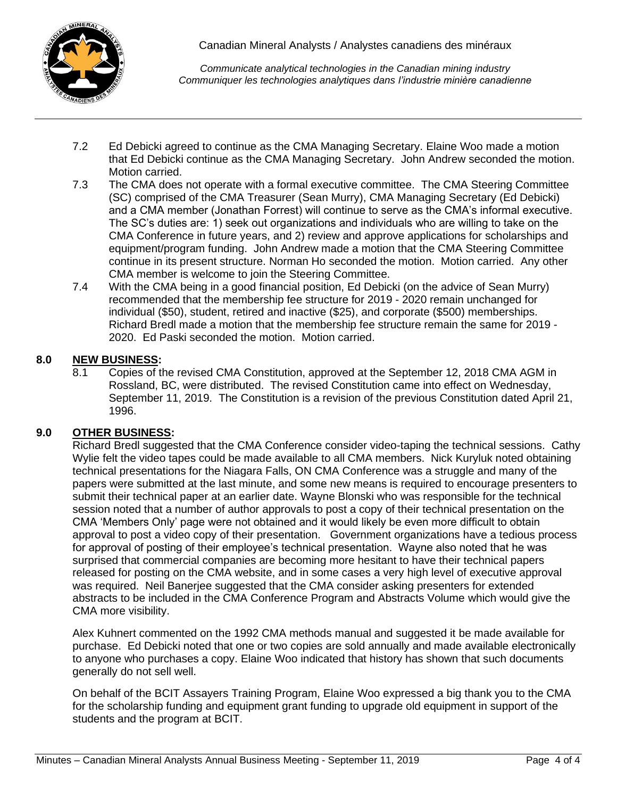

*Communicate analytical technologies in the Canadian mining industry Communiquer les technologies analytiques dans l'industrie minière canadienne*

- 7.2 Ed Debicki agreed to continue as the CMA Managing Secretary. Elaine Woo made a motion that Ed Debicki continue as the CMA Managing Secretary. John Andrew seconded the motion. Motion carried.
- 7.3 The CMA does not operate with a formal executive committee. The CMA Steering Committee (SC) comprised of the CMA Treasurer (Sean Murry), CMA Managing Secretary (Ed Debicki) and a CMA member (Jonathan Forrest) will continue to serve as the CMA's informal executive. The SC's duties are: 1) seek out organizations and individuals who are willing to take on the CMA Conference in future years, and 2) review and approve applications for scholarships and equipment/program funding. John Andrew made a motion that the CMA Steering Committee continue in its present structure. Norman Ho seconded the motion. Motion carried. Any other CMA member is welcome to join the Steering Committee.
- 7.4 With the CMA being in a good financial position, Ed Debicki (on the advice of Sean Murry) recommended that the membership fee structure for 2019 - 2020 remain unchanged for individual (\$50), student, retired and inactive (\$25), and corporate (\$500) memberships. Richard Bredl made a motion that the membership fee structure remain the same for 2019 - 2020. Ed Paski seconded the motion. Motion carried.

# **8.0 NEW BUSINESS:**

8.1 Copies of the revised CMA Constitution, approved at the September 12, 2018 CMA AGM in Rossland, BC, were distributed. The revised Constitution came into effect on Wednesday, September 11, 2019. The Constitution is a revision of the previous Constitution dated April 21, 1996.

## **9.0 OTHER BUSINESS:**

Richard Bredl suggested that the CMA Conference consider video-taping the technical sessions. Cathy Wylie felt the video tapes could be made available to all CMA members. Nick Kuryluk noted obtaining technical presentations for the Niagara Falls, ON CMA Conference was a struggle and many of the papers were submitted at the last minute, and some new means is required to encourage presenters to submit their technical paper at an earlier date. Wayne Blonski who was responsible for the technical session noted that a number of author approvals to post a copy of their technical presentation on the CMA 'Members Only' page were not obtained and it would likely be even more difficult to obtain approval to post a video copy of their presentation. Government organizations have a tedious process for approval of posting of their employee's technical presentation. Wayne also noted that he was surprised that commercial companies are becoming more hesitant to have their technical papers released for posting on the CMA website, and in some cases a very high level of executive approval was required. Neil Banerjee suggested that the CMA consider asking presenters for extended abstracts to be included in the CMA Conference Program and Abstracts Volume which would give the CMA more visibility.

Alex Kuhnert commented on the 1992 CMA methods manual and suggested it be made available for purchase. Ed Debicki noted that one or two copies are sold annually and made available electronically to anyone who purchases a copy. Elaine Woo indicated that history has shown that such documents generally do not sell well.

On behalf of the BCIT Assayers Training Program, Elaine Woo expressed a big thank you to the CMA for the scholarship funding and equipment grant funding to upgrade old equipment in support of the students and the program at BCIT.